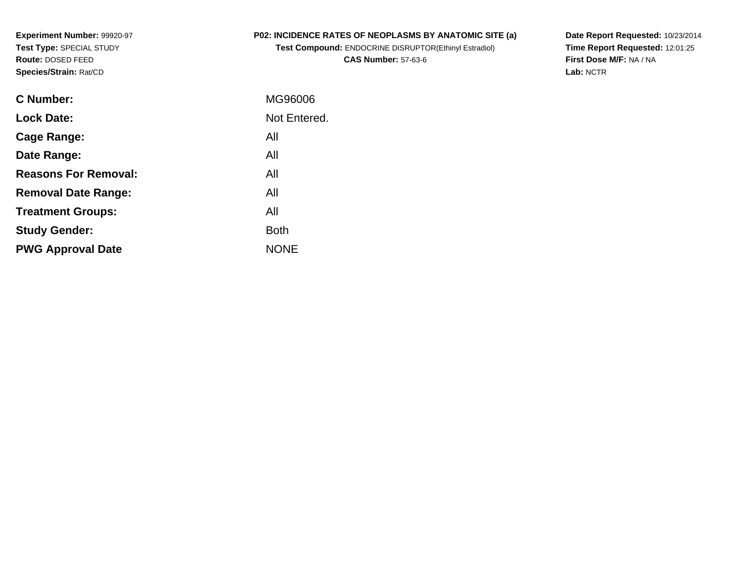**Experiment Number:** 99920-97**Test Type:** SPECIAL STUDY**Route:** DOSED FEED**Species/Strain:** Rat/CD

## **P02: INCIDENCE RATES OF NEOPLASMS BY ANATOMIC SITE (a)**

**Test Compound:** ENDOCRINE DISRUPTOR(Ethinyl Estradiol)**CAS Number:** 57-63-6

**Date Report Requested:** 10/23/2014 **Time Report Requested:** 12:01:25**First Dose M/F:** NA / NA**Lab:** NCTR

| <b>C</b> Number:            | MG96006      |
|-----------------------------|--------------|
| <b>Lock Date:</b>           | Not Entered. |
| Cage Range:                 | All          |
| Date Range:                 | All          |
| <b>Reasons For Removal:</b> | All          |
| <b>Removal Date Range:</b>  | All          |
| <b>Treatment Groups:</b>    | All          |
| <b>Study Gender:</b>        | <b>Both</b>  |
| <b>PWG Approval Date</b>    | <b>NONE</b>  |
|                             |              |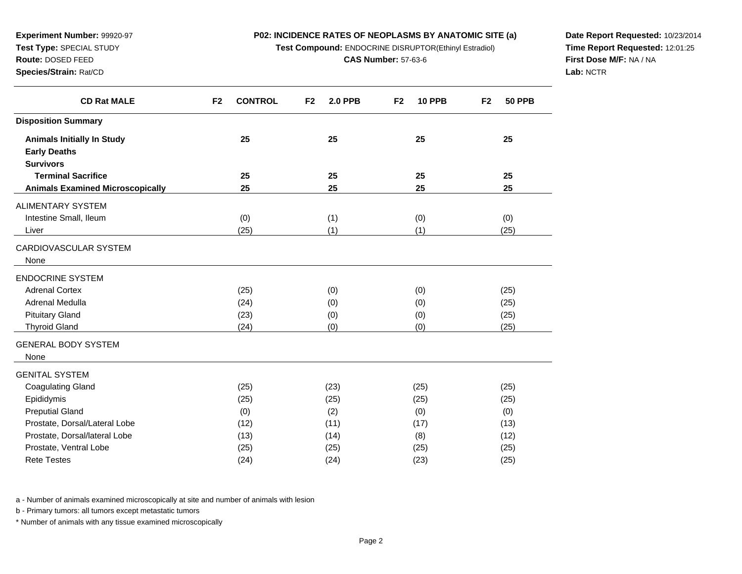### **P02: INCIDENCE RATES OF NEOPLASMS BY ANATOMIC SITE (a)**

**Test Compound:** ENDOCRINE DISRUPTOR(Ethinyl Estradiol)

**CAS Number:** 57-63-6

**Date Report Requested:** 10/23/2014**Time Report Requested:** 12:01:25**First Dose M/F:** NA / NA**Lab:** NCTR

| <b>CD Rat MALE</b>                                       | <b>CONTROL</b><br>F <sub>2</sub> | F <sub>2</sub><br><b>2.0 PPB</b> | <b>10 PPB</b><br>F <sub>2</sub> | <b>50 PPB</b><br>F <sub>2</sub> |
|----------------------------------------------------------|----------------------------------|----------------------------------|---------------------------------|---------------------------------|
| <b>Disposition Summary</b>                               |                                  |                                  |                                 |                                 |
| <b>Animals Initially In Study</b><br><b>Early Deaths</b> | 25                               | 25                               | 25                              | 25                              |
| <b>Survivors</b>                                         |                                  |                                  |                                 |                                 |
| <b>Terminal Sacrifice</b>                                | 25                               | 25                               | 25                              | 25                              |
| <b>Animals Examined Microscopically</b>                  | 25                               | 25                               | 25                              | 25                              |
| ALIMENTARY SYSTEM                                        |                                  |                                  |                                 |                                 |
| Intestine Small, Ileum                                   | (0)                              | (1)                              | (0)                             | (0)                             |
| Liver                                                    | (25)                             | (1)                              | (1)                             | (25)                            |
| CARDIOVASCULAR SYSTEM<br>None                            |                                  |                                  |                                 |                                 |
| ENDOCRINE SYSTEM                                         |                                  |                                  |                                 |                                 |
| <b>Adrenal Cortex</b>                                    | (25)                             | (0)                              | (0)                             | (25)                            |
| Adrenal Medulla                                          | (24)                             | (0)                              | (0)                             | (25)                            |
| <b>Pituitary Gland</b>                                   | (23)                             | (0)                              | (0)                             | (25)                            |
| <b>Thyroid Gland</b>                                     | (24)                             | (0)                              | (0)                             | (25)                            |
| <b>GENERAL BODY SYSTEM</b>                               |                                  |                                  |                                 |                                 |
| None                                                     |                                  |                                  |                                 |                                 |
| GENITAL SYSTEM                                           |                                  |                                  |                                 |                                 |
| <b>Coagulating Gland</b>                                 | (25)                             | (23)                             | (25)                            | (25)                            |
| Epididymis                                               | (25)                             | (25)                             | (25)                            | (25)                            |
| <b>Preputial Gland</b>                                   | (0)                              | (2)                              | (0)                             | (0)                             |
| Prostate, Dorsal/Lateral Lobe                            | (12)                             | (11)                             | (17)                            | (13)                            |
| Prostate, Dorsal/lateral Lobe                            | (13)                             | (14)                             | (8)                             | (12)                            |
| Prostate, Ventral Lobe                                   | (25)                             | (25)                             | (25)                            | (25)                            |
| <b>Rete Testes</b>                                       | (24)                             | (24)                             | (23)                            | (25)                            |

a - Number of animals examined microscopically at site and number of animals with lesion

b - Primary tumors: all tumors except metastatic tumors

**Experiment Number:** 99920-97**Test Type:** SPECIAL STUDY**Route:** DOSED FEED**Species/Strain:** Rat/CD

and a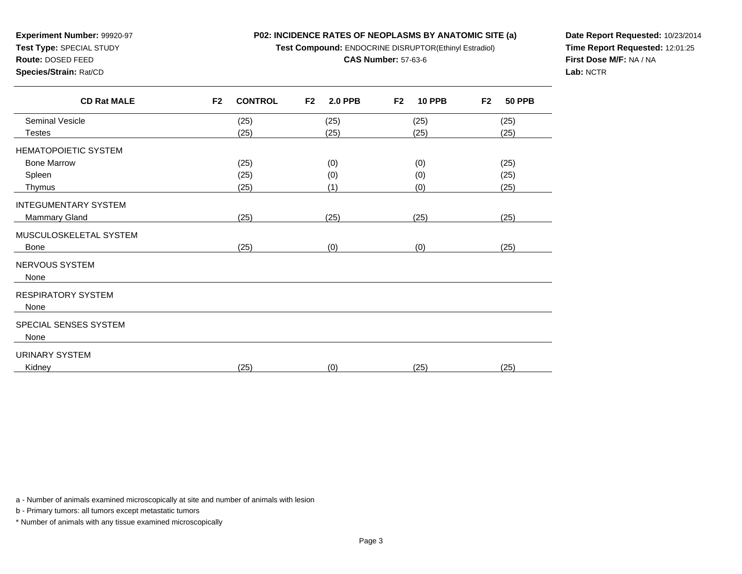# **P02: INCIDENCE RATES OF NEOPLASMS BY ANATOMIC SITE (a)Test Compound:** ENDOCRINE DISRUPTOR(Ethinyl Estradiol)

**CAS Number:** 57-63-6

**Experiment Number:** 99920-97**Test Type:** SPECIAL STUDY

**Route:** DOSED FEED

### **Species/Strain:** Rat/CD

**Date Report Requested:** 10/23/2014**Time Report Requested:** 12:01:25**First Dose M/F:** NA / NA**Lab:** NCTR

| <b>CD Rat MALE</b>     | F <sub>2</sub><br><b>CONTROL</b> | F <sub>2</sub><br><b>2.0 PPB</b> | F <sub>2</sub><br><b>10 PPB</b> | F <sub>2</sub><br><b>50 PPB</b> |
|------------------------|----------------------------------|----------------------------------|---------------------------------|---------------------------------|
| Seminal Vesicle        | (25)                             | (25)                             | (25)                            | (25)                            |
| <b>Testes</b>          | (25)                             | (25)                             | (25)                            | (25)                            |
| HEMATOPOIETIC SYSTEM   |                                  |                                  |                                 |                                 |
| <b>Bone Marrow</b>     | (25)                             | (0)                              | (0)                             | (25)                            |
| Spleen                 | (25)                             | (0)                              | (0)                             | (25)                            |
| Thymus                 | (25)                             | (1)                              | (0)                             | (25)                            |
| INTEGUMENTARY SYSTEM   |                                  |                                  |                                 |                                 |
| Mammary Gland          | (25)                             | (25)                             | (25)                            | (25)                            |
| MUSCULOSKELETAL SYSTEM |                                  |                                  |                                 |                                 |
| Bone                   | (25)                             | (0)                              | (0)                             | (25)                            |
| NERVOUS SYSTEM         |                                  |                                  |                                 |                                 |
| None                   |                                  |                                  |                                 |                                 |
| RESPIRATORY SYSTEM     |                                  |                                  |                                 |                                 |
| None                   |                                  |                                  |                                 |                                 |
| SPECIAL SENSES SYSTEM  |                                  |                                  |                                 |                                 |
| None                   |                                  |                                  |                                 |                                 |
| URINARY SYSTEM         |                                  |                                  |                                 |                                 |
| Kidney                 | (25)                             | (0)                              | (25)                            | (25)                            |
|                        |                                  |                                  |                                 |                                 |

a - Number of animals examined microscopically at site and number of animals with lesion

b - Primary tumors: all tumors except metastatic tumors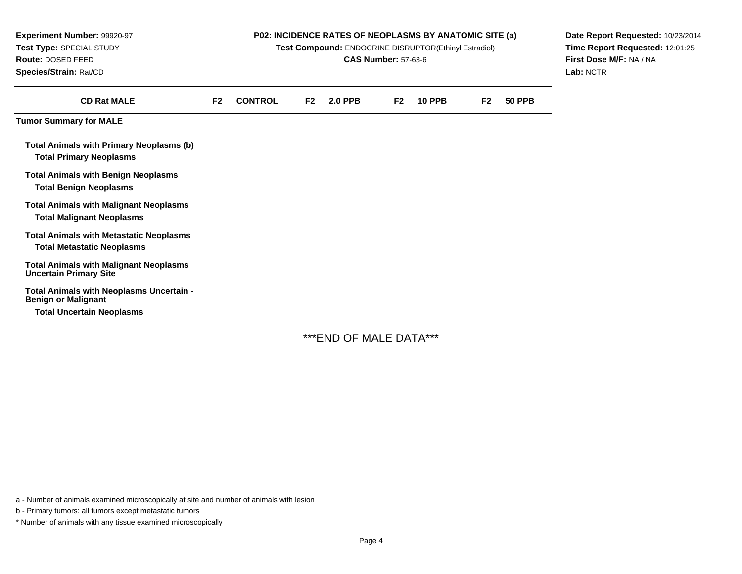| Experiment Number: 99920-97<br>Test Type: SPECIAL STUDY<br>Route: DOSED FEED<br>Species/Strain: Rat/CD     | P02: INCIDENCE RATES OF NEOPLASMS BY ANATOMIC SITE (a)<br>Test Compound: ENDOCRINE DISRUPTOR(Ethinyl Estradiol)<br><b>CAS Number: 57-63-6</b> |                |    |                |                |               | Date Report Requested: 10/23/2014<br>Time Report Requested: 12:01:25<br>First Dose M/F: NA / NA<br>Lab: NCTR |               |  |
|------------------------------------------------------------------------------------------------------------|-----------------------------------------------------------------------------------------------------------------------------------------------|----------------|----|----------------|----------------|---------------|--------------------------------------------------------------------------------------------------------------|---------------|--|
| <b>CD Rat MALE</b>                                                                                         | F2                                                                                                                                            | <b>CONTROL</b> | F2 | <b>2.0 PPB</b> | F <sub>2</sub> | <b>10 PPB</b> | F <sub>2</sub>                                                                                               | <b>50 PPB</b> |  |
| <b>Tumor Summary for MALE</b>                                                                              |                                                                                                                                               |                |    |                |                |               |                                                                                                              |               |  |
| <b>Total Animals with Primary Neoplasms (b)</b><br><b>Total Primary Neoplasms</b>                          |                                                                                                                                               |                |    |                |                |               |                                                                                                              |               |  |
| <b>Total Animals with Benign Neoplasms</b><br><b>Total Benign Neoplasms</b>                                |                                                                                                                                               |                |    |                |                |               |                                                                                                              |               |  |
| <b>Total Animals with Malignant Neoplasms</b><br><b>Total Malignant Neoplasms</b>                          |                                                                                                                                               |                |    |                |                |               |                                                                                                              |               |  |
| <b>Total Animals with Metastatic Neoplasms</b><br><b>Total Metastatic Neoplasms</b>                        |                                                                                                                                               |                |    |                |                |               |                                                                                                              |               |  |
| <b>Total Animals with Malignant Neoplasms</b><br><b>Uncertain Primary Site</b>                             |                                                                                                                                               |                |    |                |                |               |                                                                                                              |               |  |
| Total Animals with Neoplasms Uncertain -<br><b>Benign or Malignant</b><br><b>Total Uncertain Neoplasms</b> |                                                                                                                                               |                |    |                |                |               |                                                                                                              |               |  |

\*\*\*END OF MALE DATA\*\*\*

a - Number of animals examined microscopically at site and number of animals with lesion

b - Primary tumors: all tumors except metastatic tumors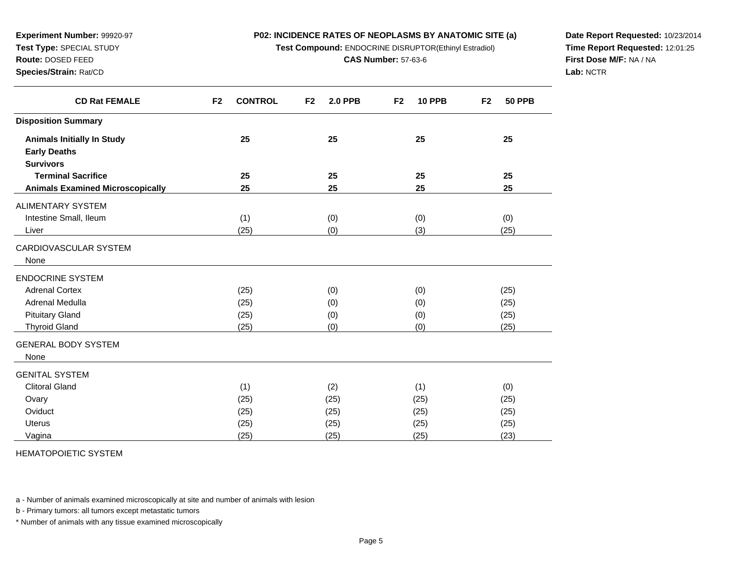### **P02: INCIDENCE RATES OF NEOPLASMS BY ANATOMIC SITE (a)**

**Test Compound:** ENDOCRINE DISRUPTOR(Ethinyl Estradiol)

**CAS Number:** 57-63-6

**Date Report Requested:** 10/23/2014**Time Report Requested:** 12:01:25**First Dose M/F:** NA / NA**Lab:** NCTR

| <b>CD Rat FEMALE</b>                    | F <sub>2</sub><br><b>CONTROL</b> | F <sub>2</sub><br><b>2.0 PPB</b> | F <sub>2</sub><br><b>10 PPB</b> | <b>50 PPB</b><br>F <sub>2</sub> |
|-----------------------------------------|----------------------------------|----------------------------------|---------------------------------|---------------------------------|
| <b>Disposition Summary</b>              |                                  |                                  |                                 |                                 |
| <b>Animals Initially In Study</b>       | 25                               | 25                               | 25                              | 25                              |
| <b>Early Deaths</b>                     |                                  |                                  |                                 |                                 |
| <b>Survivors</b>                        |                                  |                                  |                                 |                                 |
| <b>Terminal Sacrifice</b>               | 25                               | 25                               | 25                              | 25                              |
| <b>Animals Examined Microscopically</b> | 25                               | 25                               | 25                              | 25                              |
| ALIMENTARY SYSTEM                       |                                  |                                  |                                 |                                 |
| Intestine Small, Ileum                  | (1)                              | (0)                              | (0)                             | (0)                             |
| Liver                                   | (25)                             | (0)                              | (3)                             | (25)                            |
| CARDIOVASCULAR SYSTEM                   |                                  |                                  |                                 |                                 |
| None                                    |                                  |                                  |                                 |                                 |
| <b>ENDOCRINE SYSTEM</b>                 |                                  |                                  |                                 |                                 |
| <b>Adrenal Cortex</b>                   | (25)                             | (0)                              | (0)                             | (25)                            |
| Adrenal Medulla                         | (25)                             | (0)                              | (0)                             | (25)                            |
| <b>Pituitary Gland</b>                  | (25)                             | (0)                              | (0)                             | (25)                            |
| <b>Thyroid Gland</b>                    | (25)                             | (0)                              | (0)                             | (25)                            |
| <b>GENERAL BODY SYSTEM</b>              |                                  |                                  |                                 |                                 |
| None                                    |                                  |                                  |                                 |                                 |
| <b>GENITAL SYSTEM</b>                   |                                  |                                  |                                 |                                 |
| <b>Clitoral Gland</b>                   | (1)                              | (2)                              | (1)                             | (0)                             |
| Ovary                                   | (25)                             | (25)                             | (25)                            | (25)                            |
| Oviduct                                 | (25)                             | (25)                             | (25)                            | (25)                            |
| <b>Uterus</b>                           | (25)                             | (25)                             | (25)                            | (25)                            |
| Vagina                                  | (25)                             | (25)                             | (25)                            | (23)                            |

HEMATOPOIETIC SYSTEM

**Experiment Number:** 99920-97**Test Type:** SPECIAL STUDY**Route:** DOSED FEED**Species/Strain:** Rat/CD

 $\overline{\phantom{0}}$ 

a - Number of animals examined microscopically at site and number of animals with lesion

b - Primary tumors: all tumors except metastatic tumors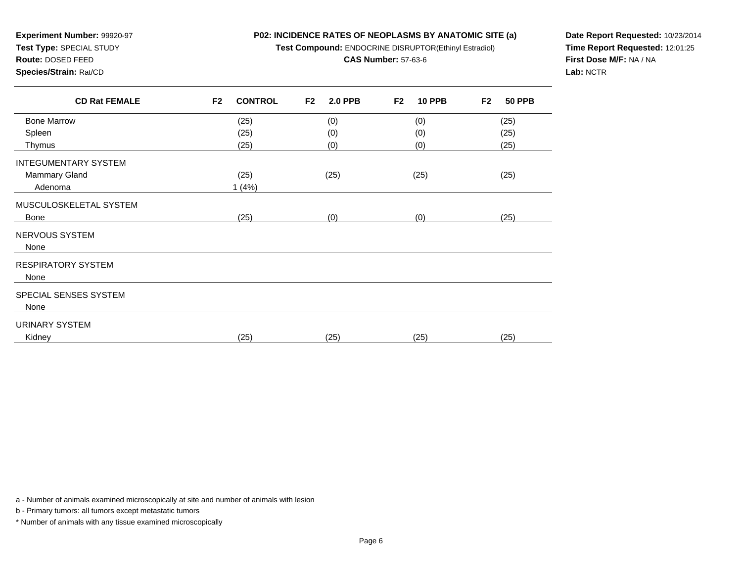**P02: INCIDENCE RATES OF NEOPLASMS BY ANATOMIC SITE (a)**

**Test Compound:** ENDOCRINE DISRUPTOR(Ethinyl Estradiol)

**CAS Number:** 57-63-6

**Route:** DOSED FEED**Species/Strain:** Rat/CD

**Experiment Number:** 99920-97**Test Type:** SPECIAL STUDY

**Date Report Requested:** 10/23/2014**Time Report Requested:** 12:01:25**First Dose M/F:** NA / NA**Lab:** NCTR

| <b>CD Rat FEMALE</b>        | <b>CONTROL</b><br>F <sub>2</sub> | <b>2.0 PPB</b><br>F <sub>2</sub> | <b>10 PPB</b><br>F <sub>2</sub> | <b>50 PPB</b><br>F <sub>2</sub> |
|-----------------------------|----------------------------------|----------------------------------|---------------------------------|---------------------------------|
| <b>Bone Marrow</b>          | (25)                             | (0)                              | (0)                             | (25)                            |
| Spleen                      | (25)                             | (0)                              | (0)                             | (25)                            |
| Thymus                      | (25)                             | (0)                              | (0)                             | (25)                            |
| <b>INTEGUMENTARY SYSTEM</b> |                                  |                                  |                                 |                                 |
| Mammary Gland               | (25)                             | (25)                             | (25)                            | (25)                            |
| Adenoma                     | 1(4%)                            |                                  |                                 |                                 |
| MUSCULOSKELETAL SYSTEM      |                                  |                                  |                                 |                                 |
| Bone                        | (25)                             | (0)                              | (0)                             | (25)                            |
| NERVOUS SYSTEM              |                                  |                                  |                                 |                                 |
| None                        |                                  |                                  |                                 |                                 |
| <b>RESPIRATORY SYSTEM</b>   |                                  |                                  |                                 |                                 |
| None                        |                                  |                                  |                                 |                                 |
| SPECIAL SENSES SYSTEM       |                                  |                                  |                                 |                                 |
| None                        |                                  |                                  |                                 |                                 |
| URINARY SYSTEM              |                                  |                                  |                                 |                                 |
| Kidney                      | (25)                             | (25)                             | (25)                            | (25)                            |

a - Number of animals examined microscopically at site and number of animals with lesion

b - Primary tumors: all tumors except metastatic tumors